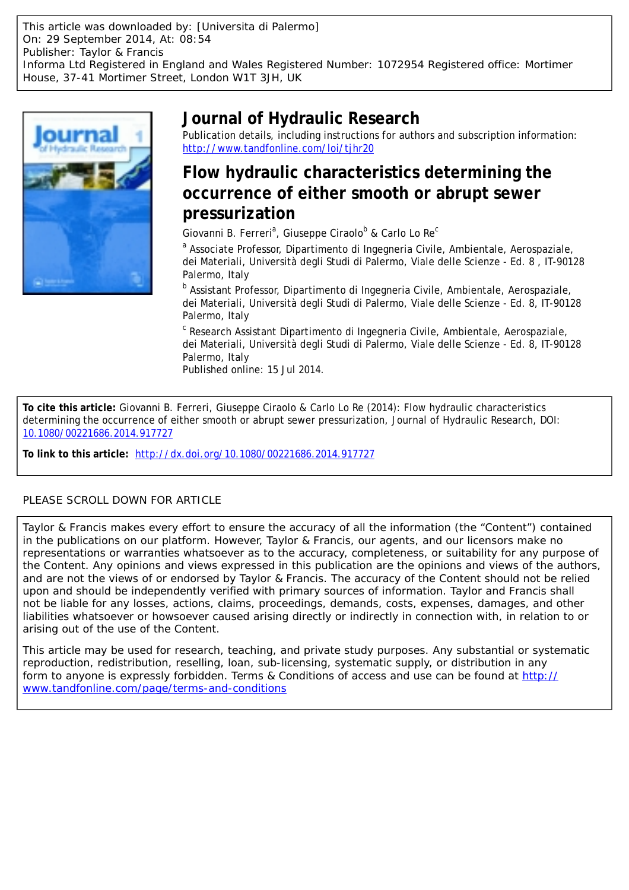This article was downloaded by: [Universita di Palermo] On: 29 September 2014, At: 08:54 Publisher: Taylor & Francis Informa Ltd Registered in England and Wales Registered Number: 1072954 Registered office: Mortimer House, 37-41 Mortimer Street, London W1T 3JH, UK



# **Journal of Hydraulic Research**

Publication details, including instructions for authors and subscription information: <http://www.tandfonline.com/loi/tjhr20>

# **Flow hydraulic characteristics determining the occurrence of either smooth or abrupt sewer pressurization**

Giovanni B. Ferreri<sup>a</sup>, Giuseppe Ciraolo<sup>b</sup> & Carlo Lo Re<sup>c</sup>

<sup>a</sup> Associate Professor, Dipartimento di Ingegneria Civile, Ambientale, Aerospaziale, dei Materiali, Università degli Studi di Palermo, Viale delle Scienze - Ed. 8 , IT-90128 Palermo, Italy

<sup>b</sup> Assistant Professor, Dipartimento di Ingegneria Civile, Ambientale, Aerospaziale, dei Materiali, Università degli Studi di Palermo, Viale delle Scienze - Ed. 8, IT-90128 Palermo, Italy

<sup>c</sup> Research Assistant Dipartimento di Ingegneria Civile, Ambientale, Aerospaziale, dei Materiali, Università degli Studi di Palermo, Viale delle Scienze - Ed. 8, IT-90128 Palermo, Italy

Published online: 15 Jul 2014.

**To cite this article:** Giovanni B. Ferreri, Giuseppe Ciraolo & Carlo Lo Re (2014): Flow hydraulic characteristics determining the occurrence of either smooth or abrupt sewer pressurization, Journal of Hydraulic Research, DOI: [10.1080/00221686.2014.917727](http://www.tandfonline.com/action/showCitFormats?doi=10.1080/00221686.2014.917727)

**To link to this article:** <http://dx.doi.org/10.1080/00221686.2014.917727>

# PLEASE SCROLL DOWN FOR ARTICLE

Taylor & Francis makes every effort to ensure the accuracy of all the information (the "Content") contained in the publications on our platform. However, Taylor & Francis, our agents, and our licensors make no representations or warranties whatsoever as to the accuracy, completeness, or suitability for any purpose of the Content. Any opinions and views expressed in this publication are the opinions and views of the authors, and are not the views of or endorsed by Taylor & Francis. The accuracy of the Content should not be relied upon and should be independently verified with primary sources of information. Taylor and Francis shall not be liable for any losses, actions, claims, proceedings, demands, costs, expenses, damages, and other liabilities whatsoever or howsoever caused arising directly or indirectly in connection with, in relation to or arising out of the use of the Content.

This article may be used for research, teaching, and private study purposes. Any substantial or systematic reproduction, redistribution, reselling, loan, sub-licensing, systematic supply, or distribution in any form to anyone is expressly forbidden. Terms & Conditions of access and use can be found at [http://](http://www.tandfonline.com/page/terms-and-conditions) [www.tandfonline.com/page/terms-and-conditions](http://www.tandfonline.com/page/terms-and-conditions)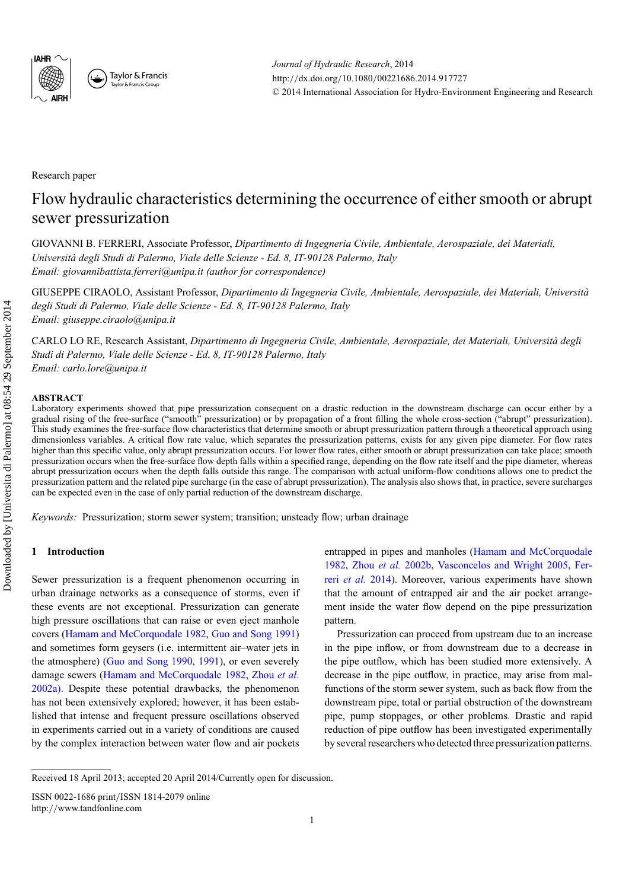

Taylor & Francis É Taylor & Francis Group

Research paper

# Flow hydraulic characteristics determining the occurrence of either smooth or abrupt sewer pressurization

GIOVANNI B. FERRERI, Associate Professor, *Dipartimento di Ingegneria Civile, Ambientale, Aerospaziale, dei Materiali, Università degli Studi di Palermo, Viale delle Scienze - Ed. 8, IT-90128 Palermo, Italy Email: giovannibattista.ferreri@unipa.it (author for correspondence)*

GIUSEPPE CIRAOLO, Assistant Professor, *Dipartimento di Ingegneria Civile, Ambientale, Aerospaziale, dei Materiali, Università degli Studi di Palermo, Viale delle Scienze - Ed. 8, IT-90128 Palermo, Italy Email: giuseppe.ciraolo@unipa.it*

CARLO LO RE, Research Assistant, *Dipartimento di Ingegneria Civile, Ambientale, Aerospaziale, dei Materiali, Università degli Studi di Palermo, Viale delle Scienze - Ed. 8, IT-90128 Palermo, Italy Email: carlo.lore@unipa.it*

### **ABSTRACT**

Laboratory experiments showed that pipe pressurization consequent on a drastic reduction in the downstream discharge can occur either by a gradual rising of the free-surface ("smooth" pressurization) or by propagation of a front filling the whole cross-section ("abrupt" pressurization). This study examines the free-surface flow characteristics that determine smooth or abrupt pressurization pattern through a theoretical approach using dimensionless variables. A critical flow rate value, which separates the pressurization patterns, exists for any given pipe diameter. For flow rates higher than this specific value, only abrupt pressurization occurs. For lower flow rates, either smooth or abrupt pressurization can take place; smooth pressurization occurs when the free-surface flow depth falls within a specified range, depending on the flow rate itself and the pipe diameter, whereas abrupt pressurization occurs when the depth falls outside this range. The comparison with actual uniform-flow conditions allows one to predict the pressurization pattern and the related pipe surcharge (in the case of abrupt pressurization). The analysis also shows that, in practice, severe surcharges can be expected even in the case of only partial reduction of the downstream discharge.

*Keywords:* Pressurization; storm sewer system; transition; unsteady flow; urban drainage

# **1 Introduction**

Sewer pressurization is a frequent phenomenon occurring in urban drainage networks as a consequence of storms, even if these events are not exceptional. Pressurization can generate high pressure oscillations that can raise or even eject manhole covers [\(Hamam and McCorquodale 1982,](#page-7-0) [Guo and Song 1991\)](#page-7-0) and sometimes form geysers (i.e. intermittent air–water jets in the atmosphere) [\(Guo and Song 1990,](#page-7-0) [1991\)](#page-7-0), or even severely damage sewers [\(Hamam and McCorquodale 1982,](#page-7-0) Zhou *et al.* 2002a). Despite these potential drawbacks, the phenomenon has not been extensively explored; however, it has been established that intense and frequent pressure oscillations observed in experiments carried out in a variety of conditions are caused by the complex interaction between water flow and air pockets entrapped in pipes and manholes (Hamam and McCorquodale 1982, Zhou *et al.* [2002b,](#page-8-0) [Vasconcelos and Wright 2005,](#page-8-0) Ferreri *et al.* 2014). Moreover, various experiments have shown that the amount of entrapped air and the air pocket arrangement inside the water flow depend on the pipe pressurization pattern.

Pressurization can proceed from upstream due to an increase in the pipe inflow, or from downstream due to a decrease in the pipe outflow, which has been studied more extensively. A decrease in the pipe outflow, in practice, may arise from malfunctions of the storm sewer system, such as back flow from the downstream pipe, total or partial obstruction of the downstream pipe, pump stoppages, or other problems. Drastic and rapid reduction of pipe outflow has been investigated experimentally by several researchers who detected three pressurization patterns.

Received 18 April 2013; accepted 20 April 2014/Currently open for discussion.

ISSN 0022-1686 print*/*ISSN 1814-2079 online http:*//*www.tandfonline.com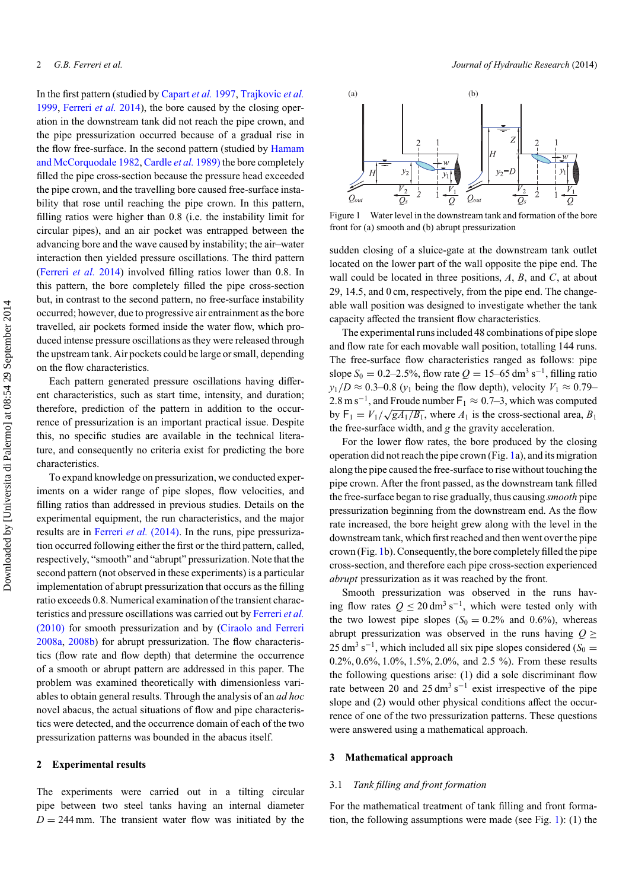<span id="page-2-0"></span>In the first pattern (studied by [Capart](#page-7-0) *et al.* 1997, Trajkovic *et al.* 1999, [Ferreri](#page-7-0) *et al.* 2014), the bore caused by the closing operation in the downstream tank did not reach the pipe crown, and the pipe pressurization occurred because of a gradual rise in the flow free-surface. In the second pattern (studied by [Hamam](#page-7-0) [and McCorquodale 1982,](#page-7-0) [Cardle](#page-7-0) *et al.* 1989) the bore completely filled the pipe cross-section because the pressure head exceeded the pipe crown, and the travelling bore caused free-surface instability that rose until reaching the pipe crown. In this pattern, filling ratios were higher than 0.8 (i.e. the instability limit for circular pipes), and an air pocket was entrapped between the advancing bore and the wave caused by instability; the air–water interaction then yielded pressure oscillations. The third pattern [\(Ferreri](#page-7-0) *et al.* 2014) involved filling ratios lower than 0.8. In this pattern, the bore completely filled the pipe cross-section but, in contrast to the second pattern, no free-surface instability occurred; however, due to progressive air entrainment as the bore travelled, air pockets formed inside the water flow, which produced intense pressure oscillations as they were released through the upstream tank. Air pockets could be large or small, depending on the flow characteristics.

Each pattern generated pressure oscillations having different characteristics, such as start time, intensity, and duration; therefore, prediction of the pattern in addition to the occurrence of pressurization is an important practical issue. Despite this, no specific studies are available in the technical literature, and consequently no criteria exist for predicting the bore characteristics.

To expand knowledge on pressurization, we conducted experiments on a wider range of pipe slopes, flow velocities, and filling ratios than addressed in previous studies. Details on the experimental equipment, the run characteristics, and the major results are in Ferreri *et al.* [\(2014\).](#page-7-0) In the runs, pipe pressurization occurred following either the first or the third pattern, called, respectively, "smooth" and "abrupt" pressurization. Note that the second pattern (not observed in these experiments) is a particular implementation of abrupt pressurization that occurs as the filling ratio exceeds 0.8. Numerical examination of the transient characteristics and pressure oscillations was carried out by Ferreri *et al.* (2010) [for smooth pressurization and by \(](#page-7-0)Ciraolo and Ferreri 2008a, [2008b\)](#page-7-0) for abrupt pressurization. The flow characteristics (flow rate and flow depth) that determine the occurrence of a smooth or abrupt pattern are addressed in this paper. The problem was examined theoretically with dimensionless variables to obtain general results. Through the analysis of an *ad hoc* novel abacus, the actual situations of flow and pipe characteristics were detected, and the occurrence domain of each of the two pressurization patterns was bounded in the abacus itself.

#### **2 Experimental results**

The experiments were carried out in a tilting circular pipe between two steel tanks having an internal diameter  $D = 244$  mm. The transient water flow was initiated by the



Figure 1 Water level in the downstream tank and formation of the bore front for (a) smooth and (b) abrupt pressurization

sudden closing of a sluice-gate at the downstream tank outlet located on the lower part of the wall opposite the pipe end. The wall could be located in three positions, *A*, *B*, and *C*, at about 29, 14.5, and 0 cm, respectively, from the pipe end. The changeable wall position was designed to investigate whether the tank capacity affected the transient flow characteristics.

The experimental runs included 48 combinations of pipe slope and flow rate for each movable wall position, totalling 144 runs. The free-surface flow characteristics ranged as follows: pipe slope  $S_0 = 0.2-2.5\%$ , flow rate  $Q = 15-65$  dm<sup>3</sup> s<sup>-1</sup>, filling ratio  $y_1/D \approx 0.3$ –0.8 ( $y_1$  being the flow depth), velocity  $V_1 \approx 0.79$ – 2.8 m s<sup>-1</sup>, and Froude number  $F_1 \approx 0.7$ –3, which was computed by  $F_1 = V_1/\sqrt{gA_1/B_1}$ , where  $A_1$  is the cross-sectional area,  $B_1$ the free-surface width, and *g* the gravity acceleration.

For the lower flow rates, the bore produced by the closing operation did not reach the pipe crown (Fig. 1a), and its migration along the pipe caused the free-surface to rise without touching the pipe crown. After the front passed, as the downstream tank filled the free-surface began to rise gradually, thus causing *smooth* pipe pressurization beginning from the downstream end. As the flow rate increased, the bore height grew along with the level in the downstream tank, which first reached and then went over the pipe crown (Fig. 1b). Consequently, the bore completely filled the pipe cross-section, and therefore each pipe cross-section experienced *abrupt* pressurization as it was reached by the front.

Smooth pressurization was observed in the runs having flow rates  $Q \n≤ 20$  dm<sup>3</sup> s<sup>-1</sup>, which were tested only with the two lowest pipe slopes  $(S_0 = 0.2\%$  and 0.6%), whereas abrupt pressurization was observed in the runs having  $Q \geq$  $25 \text{ dm}^3 \text{ s}^{-1}$ , which included all six pipe slopes considered ( $S_0 =$ 0.2%, 0.6%, 1.0%, 1.5%, 2.0%, and 2.5 %). From these results the following questions arise: (1) did a sole discriminant flow rate between 20 and 25 dm<sup>3</sup> s<sup>-1</sup> exist irrespective of the pipe slope and (2) would other physical conditions affect the occurrence of one of the two pressurization patterns. These questions were answered using a mathematical approach.

### **3 Mathematical approach**

#### 3.1 *Tank filling and front formation*

For the mathematical treatment of tank filling and front formation, the following assumptions were made (see Fig. 1): (1) the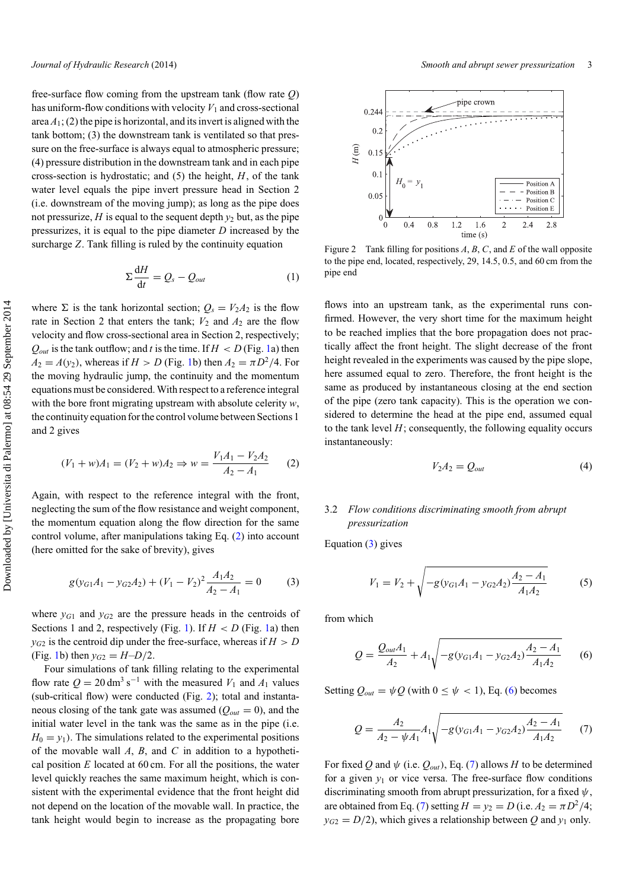<span id="page-3-0"></span>free-surface flow coming from the upstream tank (flow rate *Q*) has uniform-flow conditions with velocity  $V_1$  and cross-sectional area  $A_1$ ; (2) the pipe is horizontal, and its invert is aligned with the tank bottom; (3) the downstream tank is ventilated so that pressure on the free-surface is always equal to atmospheric pressure; (4) pressure distribution in the downstream tank and in each pipe cross-section is hydrostatic; and (5) the height, *H*, of the tank water level equals the pipe invert pressure head in Section 2 (i.e. downstream of the moving jump); as long as the pipe does not pressurize, *H* is equal to the sequent depth  $y_2$  but, as the pipe pressurizes, it is equal to the pipe diameter *D* increased by the surcharge *Z*. Tank filling is ruled by the continuity equation

$$
\Sigma \frac{\mathrm{d}H}{\mathrm{d}t} = Q_s - Q_{out} \tag{1}
$$

where  $\Sigma$  is the tank horizontal section;  $Q_s = V_2 A_2$  is the flow rate in Section 2 that enters the tank;  $V_2$  and  $A_2$  are the flow velocity and flow cross-sectional area in Section 2, respectively;  $Q_{out}$  is the tank outflow; and *t* is the time. If  $H < D$  (Fig. [1a](#page-2-0)) then  $A_2 = A(y_2)$ , whereas if  $H > D$  (Fig. [1b](#page-2-0)) then  $A_2 = \pi D^2/4$ . For the moving hydraulic jump, the continuity and the momentum equations must be considered. With respect to a reference integral with the bore front migrating upstream with absolute celerity *w*, the continuity equation for the control volume between Sections 1 and 2 gives

$$
(V_1 + w)A_1 = (V_2 + w)A_2 \Rightarrow w = \frac{V_1A_1 - V_2A_2}{A_2 - A_1} \tag{2}
$$

Again, with respect to the reference integral with the front, neglecting the sum of the flow resistance and weight component, the momentum equation along the flow direction for the same control volume, after manipulations taking Eq. (2) into account (here omitted for the sake of brevity), gives

$$
g(y_{G1}A_1 - y_{G2}A_2) + (V_1 - V_2)^2 \frac{A_1A_2}{A_2 - A_1} = 0
$$
 (3)

where  $y_{G1}$  and  $y_{G2}$  are the pressure heads in the centroids of Sections 1 and 2, respectively (Fig. [1\)](#page-2-0). If  $H < D$  (Fig. [1a](#page-2-0)) then  $y_{G2}$  is the centroid dip under the free-surface, whereas if  $H > D$ (Fig. [1b](#page-2-0)) then  $y_{G2} = H - D/2$ .

Four simulations of tank filling relating to the experimental flow rate  $Q = 20$  dm<sup>3</sup> s<sup>-1</sup> with the measured  $V_1$  and  $A_1$  values (sub-critical flow) were conducted (Fig. 2); total and instantaneous closing of the tank gate was assumed  $(Q_{out} = 0)$ , and the initial water level in the tank was the same as in the pipe (i.e.  $H_0 = v_1$ ). The simulations related to the experimental positions of the movable wall *A*, *B*, and *C* in addition to a hypothetical position *E* located at 60 cm. For all the positions, the water level quickly reaches the same maximum height, which is consistent with the experimental evidence that the front height did not depend on the location of the movable wall. In practice, the tank height would begin to increase as the propagating bore



Figure 2 Tank filling for positions *A*, *B*, *C*, and *E* of the wall opposite to the pipe end, located, respectively, 29, 14.5, 0.5, and 60 cm from the pipe end

flows into an upstream tank, as the experimental runs confirmed. However, the very short time for the maximum height to be reached implies that the bore propagation does not practically affect the front height. The slight decrease of the front height revealed in the experiments was caused by the pipe slope, here assumed equal to zero. Therefore, the front height is the same as produced by instantaneous closing at the end section of the pipe (zero tank capacity). This is the operation we considered to determine the head at the pipe end, assumed equal to the tank level  $H$ ; consequently, the following equality occurs instantaneously:

$$
V_2 A_2 = Q_{out} \tag{4}
$$

# 3.2 *Flow conditions discriminating smooth from abrupt pressurization*

Equation (3) gives

$$
V_1 = V_2 + \sqrt{-g(y_{G1}A_1 - y_{G2}A_2)\frac{A_2 - A_1}{A_1A_2}}
$$
 (5)

from which

$$
Q = \frac{Q_{out}A_1}{A_2} + A_1 \sqrt{-g(y_{G1}A_1 - y_{G2}A_2)\frac{A_2 - A_1}{A_1A_2}}\tag{6}
$$

Setting  $Q_{out} = \psi Q$  (with  $0 \leq \psi < 1$ ), Eq. (6) becomes

$$
Q = \frac{A_2}{A_2 - \psi A_1} A_1 \sqrt{-g(y_{G1}A_1 - y_{G2}A_2) \frac{A_2 - A_1}{A_1 A_2}} \tag{7}
$$

For fixed Q and  $\psi$  (i.e.  $Q_{out}$ ), Eq. (7) allows *H* to be determined for a given  $y_1$  or vice versa. The free-surface flow conditions discriminating smooth from abrupt pressurization, for a fixed *ψ*, are obtained from Eq. (7) setting  $H = y_2 = D$  (i.e.  $A_2 = \pi D^2/4$ ;  $y_{G2} = D/2$ , which gives a relationship between *Q* and  $y_1$  only.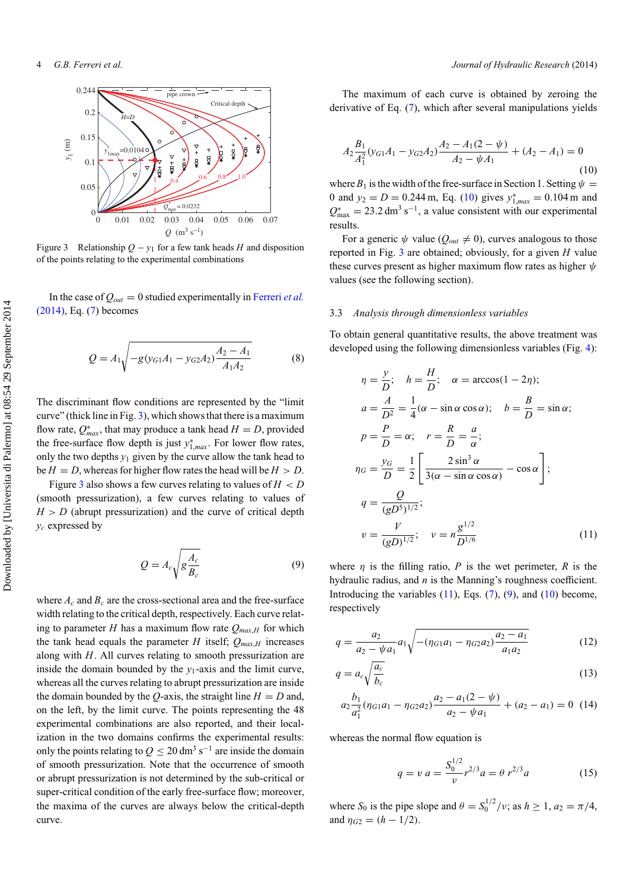<span id="page-4-0"></span>

Figure 3 Relationship  $Q - y_1$  for a few tank heads *H* and disposition of the points relating to the experimental combinations

In the case of  $Q_{out} = 0$  $Q_{out} = 0$  $Q_{out} = 0$  studied experimentally in Ferreri *et al.* (2014), Eq. [\(7\)](#page-3-0) becomes

$$
Q = A_1 \sqrt{-g(y_{G1}A_1 - y_{G2}A_2) \frac{A_2 - A_1}{A_1 A_2}}
$$
 (8)

The discriminant flow conditions are represented by the "limit curve" (thick line in Fig. 3), which shows that there is a maximum flow rate,  $Q_{max}^*$ , that may produce a tank head  $H = D$ , provided the free-surface flow depth is just  $y_{1,max}^*$ . For lower flow rates, only the two depths  $y_1$  given by the curve allow the tank head to  $be H = D$ , whereas for higher flow rates the head will be  $H > D$ .

Figure 3 also shows a few curves relating to values of  $H < D$ (smooth pressurization), a few curves relating to values of  $H > D$  (abrupt pressurization) and the curve of critical depth  $y_c$  expressed by

$$
Q = A_c \sqrt{g \frac{A_c}{B_c}}
$$
 (9)

where  $A_c$  and  $B_c$  are the cross-sectional area and the free-surface width relating to the critical depth, respectively. Each curve relating to parameter *H* has a maximum flow rate  $Q_{max,H}$  for which the tank head equals the parameter *H* itself;  $Q_{max,H}$  increases along with *H*. All curves relating to smooth pressurization are inside the domain bounded by the  $y_1$ -axis and the limit curve, whereas all the curves relating to abrupt pressurization are inside the domain bounded by the *Q*-axis, the straight line  $H = D$  and, on the left, by the limit curve. The points representing the 48 experimental combinations are also reported, and their localization in the two domains confirms the experimental results: only the points relating to  $Q \le 20$  dm<sup>3</sup> s<sup>-1</sup> are inside the domain of smooth pressurization. Note that the occurrence of smooth or abrupt pressurization is not determined by the sub-critical or super-critical condition of the early free-surface flow; moreover, the maxima of the curves are always below the critical-depth curve.

The maximum of each curve is obtained by zeroing the derivative of Eq. [\(7\)](#page-3-0), which after several manipulations yields

$$
A_2 \frac{B_1}{A_1^2} (y_{G1}A_1 - y_{G2}A_2) \frac{A_2 - A_1(2 - \psi)}{A_2 - \psi A_1} + (A_2 - A_1) = 0
$$
\n(10)

where  $B_1$  is the width of the free-surface in Section 1. Setting  $\psi =$ 0 and  $y_2 = D = 0.244 \text{ m}$ , Eq. (10) gives  $y_{1,max}^* = 0.104 \text{ m}$  and  $Q_{\text{max}}^* = 23.2 \text{ dm}^3 \text{ s}^{-1}$ , a value consistent with our experimental results.

For a generic  $\psi$  value ( $Q_{out} \neq 0$ ), curves analogous to those reported in Fig. 3 are obtained; obviously, for a given *H* value these curves present as higher maximum flow rates as higher *ψ* values (see the following section).

#### 3.3 *Analysis through dimensionless variables*

To obtain general quantitative results, the above treatment was developed using the following dimensionless variables (Fig. [4\)](#page-5-0):

$$
\eta = \frac{y}{D}; \quad h = \frac{H}{D}; \quad \alpha = \arccos(1 - 2\eta);
$$
\n
$$
a = \frac{A}{D^2} = \frac{1}{4}(\alpha - \sin\alpha\cos\alpha); \quad b = \frac{B}{D} = \sin\alpha;
$$
\n
$$
p = \frac{P}{D} = \alpha; \quad r = \frac{R}{D} = \frac{a}{\alpha};
$$
\n
$$
\eta_G = \frac{y_G}{D} = \frac{1}{2} \left[ \frac{2\sin^3\alpha}{3(\alpha - \sin\alpha\cos\alpha)} - \cos\alpha \right];
$$
\n
$$
q = \frac{Q}{(gD^5)^{1/2}};
$$
\n
$$
v = \frac{V}{(gD)^{1/2}}; \quad v = n\frac{g^{1/2}}{D^{1/6}} \tag{11}
$$

where  $\eta$  is the filling ratio, *P* is the wet perimeter, *R* is the hydraulic radius, and *n* is the Manning's roughness coefficient. Introducing the variables  $(11)$ , Eqs.  $(7)$ ,  $(9)$ , and  $(10)$  become, respectively

$$
q = \frac{a_2}{a_2 - \psi a_1} a_1 \sqrt{- (\eta_{G1} a_1 - \eta_{G2} a_2) \frac{a_2 - a_1}{a_1 a_2}}
$$
(12)

$$
q = a_c \sqrt{\frac{a_c}{b_c}} \tag{13}
$$

$$
a_2 \frac{b_1}{a_1^2} (\eta_{G1} a_1 - \eta_{G2} a_2) \frac{a_2 - a_1(2 - \psi)}{a_2 - \psi a_1} + (a_2 - a_1) = 0 \tag{14}
$$

whereas the normal flow equation is

$$
q = v \ a = \frac{S_0^{1/2}}{v} r^{2/3} a = \theta \ r^{2/3} a \tag{15}
$$

where *S*<sup>0</sup> is the pipe slope and  $\theta = S_0^{1/2}/\nu$ ; as  $h \ge 1$ ,  $a_2 = \pi/4$ , and  $\eta_{G2} = (h - 1/2)$ .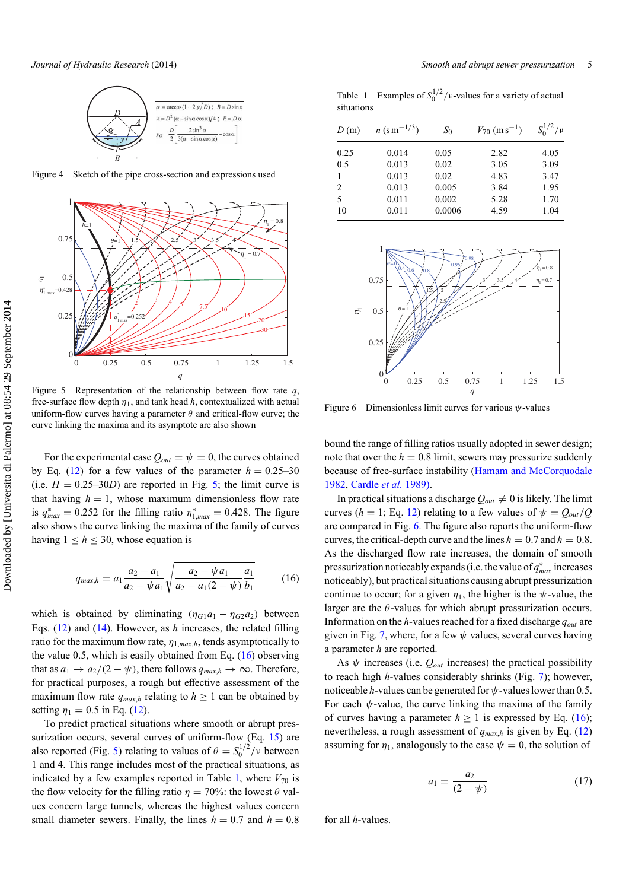<span id="page-5-0"></span>

Figure 4 Sketch of the pipe cross-section and expressions used



Figure 5 Representation of the relationship between flow rate *q*, free-surface flow depth  $\eta_1$ , and tank head *h*, contextualized with actual uniform-flow curves having a parameter  $\theta$  and critical-flow curve; the curve linking the maxima and its asymptote are also shown

For the experimental case  $Q_{out} = \psi = 0$ , the curves obtained by Eq. [\(12\)](#page-4-0) for a few values of the parameter  $h = 0.25-30$ (i.e.  $H = 0.25{\text -}30D$ ) are reported in Fig. 5; the limit curve is that having  $h = 1$ , whose maximum dimensionless flow rate is  $q_{max}^* = 0.252$  for the filling ratio  $\eta_{1,max}^* = 0.428$ . The figure also shows the curve linking the maxima of the family of curves having  $1 < h < 30$ , whose equation is

$$
q_{max,h} = a_1 \frac{a_2 - a_1}{a_2 - \psi a_1} \sqrt{\frac{a_2 - \psi a_1}{a_2 - a_1 (2 - \psi)} \frac{a_1}{b_1}} \tag{16}
$$

which is obtained by eliminating  $(\eta_{G1}a_1 - \eta_{G2}a_2)$  between Eqs. [\(12\)](#page-4-0) and [\(14\)](#page-4-0). However, as *h* increases, the related filling ratio for the maximum flow rate,  $\eta_{1,max,h}$ , tends asymptotically to the value 0.5, which is easily obtained from Eq.  $(16)$  observing that as  $a_1 \rightarrow a_2/(2 - \psi)$ , there follows  $q_{max,h} \rightarrow \infty$ . Therefore, for practical purposes, a rough but effective assessment of the maximum flow rate  $q_{max,h}$  relating to  $h \geq 1$  can be obtained by setting  $\eta_1 = 0.5$  in Eq. [\(12\)](#page-4-0).

To predict practical situations where smooth or abrupt pres-surization occurs, several curves of uniform-flow (Eq. [15\)](#page-4-0) are also reported (Fig. 5) relating to values of  $\theta = S_0^{1/2}/\nu$  between 1 and 4. This range includes most of the practical situations, as indicated by a few examples reported in Table 1, where  $V_{70}$  is the flow velocity for the filling ratio  $\eta = 70\%$ : the lowest  $\theta$  values concern large tunnels, whereas the highest values concern small diameter sewers. Finally, the lines  $h = 0.7$  and  $h = 0.8$ 

Table 1 Examples of  $S_0^{1/2}/v$ -values for a variety of actual situations

| D(m) | $n (s m^{-1/3})$ | $S_0$  | $V_{70}$ (m s <sup>-1</sup> ) | $S_0^{1/2}/v$ |
|------|------------------|--------|-------------------------------|---------------|
| 0.25 | 0.014            | 0.05   | 2.82                          | 4.05          |
| 0.5  | 0.013            | 0.02   | 3.05                          | 3.09          |
| 1    | 0.013            | 0.02   | 4.83                          | 3.47          |
| 2    | 0.013            | 0.005  | 3.84                          | 1.95          |
| -5   | 0.011            | 0.002  | 5.28                          | 1.70          |
| 10   | 0.011            | 0.0006 | 4.59                          | 1.04          |



Figure 6 Dimensionless limit curves for various *ψ*-values

bound the range of filling ratios usually adopted in sewer design; note that over the  $h = 0.8$  limit, sewers may pressurize suddenly because of free-surface instability (Hamam and McCorquodale 1982, [Cardle](#page-7-0) *et al.* 1989).

In practical situations a discharge  $Q_{out} \neq 0$  is likely. The limit curves ( $h = 1$ ; Eq. [12\)](#page-4-0) relating to a few values of  $\psi = Q_{out}/Q$ are compared in Fig. 6. The figure also reports the uniform-flow curves, the critical-depth curve and the lines  $h = 0.7$  and  $h = 0.8$ . As the discharged flow rate increases, the domain of smooth pressurization noticeably expands (i.e. the value of *q*∗ *max* increases noticeably), but practical situations causing abrupt pressurization continue to occur; for a given  $\eta_1$ , the higher is the  $\psi$ -value, the larger are the *θ*-values for which abrupt pressurization occurs. Information on the *h*-values reached for a fixed discharge *qout* are given in Fig. [7,](#page-6-0) where, for a few *ψ* values, several curves having a parameter *h* are reported.

As  $\psi$  increases (i.e.  $Q_{out}$  increases) the practical possibility to reach high *h*-values considerably shrinks (Fig. [7\)](#page-6-0); however, noticeable *h*-values can be generated for *ψ*-values lower than 0.5. For each  $\psi$ -value, the curve linking the maxima of the family of curves having a parameter  $h \ge 1$  is expressed by Eq. (16); nevertheless, a rough assessment of *qmax*,*<sup>h</sup>* is given by Eq. [\(12\)](#page-4-0) assuming for  $\eta_1$ , analogously to the case  $\psi = 0$ , the solution of

$$
a_1 = \frac{a_2}{(2 - \psi)}\tag{17}
$$

for all *h*-values.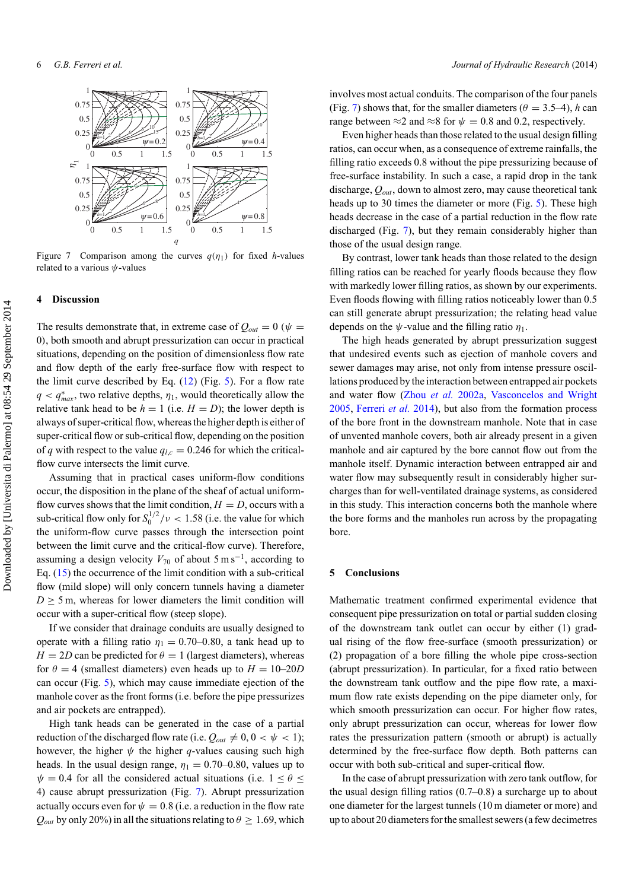<span id="page-6-0"></span>

Figure 7 Comparison among the curves  $q(\eta_1)$  for fixed *h*-values related to a various *ψ*-values

#### **4 Discussion**

The results demonstrate that, in extreme case of  $Q_{out} = 0$  ( $\psi =$ 0*)*, both smooth and abrupt pressurization can occur in practical situations, depending on the position of dimensionless flow rate and flow depth of the early free-surface flow with respect to the limit curve described by Eq. [\(12\)](#page-4-0) (Fig. [5\)](#page-5-0). For a flow rate  $q < q_{max}^*$ , two relative depths,  $\eta_1$ , would theoretically allow the relative tank head to be  $h = 1$  (i.e.  $H = D$ ); the lower depth is always of super-critical flow, whereas the higher depth is either of super-critical flow or sub-critical flow, depending on the position of *q* with respect to the value  $q_{l,c} = 0.246$  for which the criticalflow curve intersects the limit curve.

Assuming that in practical cases uniform-flow conditions occur, the disposition in the plane of the sheaf of actual uniformflow curves shows that the limit condition,  $H = D$ , occurs with a sub-critical flow only for  $S_0^{1/2}/\nu < 1.58$  (i.e. the value for which the uniform-flow curve passes through the intersection point between the limit curve and the critical-flow curve). Therefore, assuming a design velocity  $V_{70}$  of about 5 m s<sup>-1</sup>, according to Eq. [\(15\)](#page-4-0) the occurrence of the limit condition with a sub-critical flow (mild slope) will only concern tunnels having a diameter  $D \geq 5$  m, whereas for lower diameters the limit condition will occur with a super-critical flow (steep slope).

If we consider that drainage conduits are usually designed to operate with a filling ratio  $\eta_1 = 0.70{\text -}0.80$ , a tank head up to  $H = 2D$  can be predicted for  $\theta = 1$  (largest diameters), whereas for  $\theta = 4$  (smallest diameters) even heads up to  $H = 10{\text -}20D$ can occur (Fig. [5\)](#page-5-0), which may cause immediate ejection of the manhole cover as the front forms (i.e. before the pipe pressurizes and air pockets are entrapped).

High tank heads can be generated in the case of a partial reduction of the discharged flow rate (i.e.  $Q_{out} \neq 0, 0 < \psi < 1$ ); however, the higher  $\psi$  the higher *q*-values causing such high heads. In the usual design range,  $\eta_1 = 0.70{\text -}0.80$ , values up to  $\psi = 0.4$  for all the considered actual situations (i.e.  $1 \le \theta \le$ 4) cause abrupt pressurization (Fig. 7). Abrupt pressurization actually occurs even for  $\psi = 0.8$  (i.e. a reduction in the flow rate  $Q_{out}$  by only 20%) in all the situations relating to  $\theta \ge 1.69$ , which

involves most actual conduits. The comparison of the four panels (Fig. 7) shows that, for the smaller diameters ( $\theta = 3.5-4$ ), *h* can range between  $\approx$ 2 and  $\approx$ 8 for  $\psi$  = 0.8 and 0.2, respectively.

Even higher heads than those related to the usual design filling ratios, can occur when, as a consequence of extreme rainfalls, the filling ratio exceeds 0.8 without the pipe pressurizing because of free-surface instability. In such a case, a rapid drop in the tank discharge, *Qout*, down to almost zero, may cause theoretical tank heads up to 30 times the diameter or more (Fig. [5\)](#page-5-0). These high heads decrease in the case of a partial reduction in the flow rate discharged (Fig. 7), but they remain considerably higher than those of the usual design range.

By contrast, lower tank heads than those related to the design filling ratios can be reached for yearly floods because they flow with markedly lower filling ratios, as shown by our experiments. Even floods flowing with filling ratios noticeably lower than 0.5 can still generate abrupt pressurization; the relating head value depends on the  $\psi$ -value and the filling ratio  $\eta_1$ .

The high heads generated by abrupt pressurization suggest that undesired events such as ejection of manhole covers and sewer damages may arise, not only from intense pressure oscillations produced by the interaction between entrapped air pockets and water flow (Zhou *et al.* [2002a,](#page-8-0) Vasconcelos and Wright 2005, [Ferreri](#page-7-0) *et al.* 2014), but also from the formation process of the bore front in the downstream manhole. Note that in case of unvented manhole covers, both air already present in a given manhole and air captured by the bore cannot flow out from the manhole itself. Dynamic interaction between entrapped air and water flow may subsequently result in considerably higher surcharges than for well-ventilated drainage systems, as considered in this study. This interaction concerns both the manhole where the bore forms and the manholes run across by the propagating bore.

## **5 Conclusions**

Mathematic treatment confirmed experimental evidence that consequent pipe pressurization on total or partial sudden closing of the downstream tank outlet can occur by either (1) gradual rising of the flow free-surface (smooth pressurization) or (2) propagation of a bore filling the whole pipe cross-section (abrupt pressurization). In particular, for a fixed ratio between the downstream tank outflow and the pipe flow rate, a maximum flow rate exists depending on the pipe diameter only, for which smooth pressurization can occur. For higher flow rates, only abrupt pressurization can occur, whereas for lower flow rates the pressurization pattern (smooth or abrupt) is actually determined by the free-surface flow depth. Both patterns can occur with both sub-critical and super-critical flow.

In the case of abrupt pressurization with zero tank outflow, for the usual design filling ratios (0.7–0.8) a surcharge up to about one diameter for the largest tunnels (10 m diameter or more) and up to about 20 diameters for the smallest sewers (a few decimetres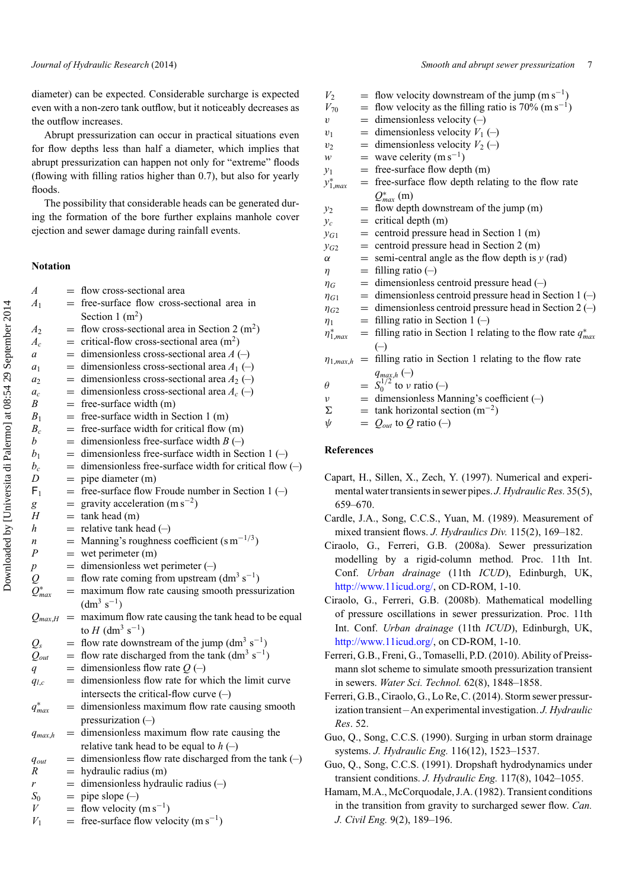<span id="page-7-0"></span>diameter) can be expected. Considerable surcharge is expected even with a non-zero tank outflow, but it noticeably decreases as the outflow increases.

Abrupt pressurization can occur in practical situations even for flow depths less than half a diameter, which implies that abrupt pressurization can happen not only for "extreme" floods (flowing with filling ratios higher than 0.7), but also for yearly floods.

The possibility that considerable heads can be generated during the formation of the bore further explains manhole cover ejection and sewer damage during rainfall events.

### **Notation**

- *A* = flow cross-sectional area<br>*A*<sub>1</sub> = free-surface flow cross-
- = free-surface flow cross-sectional area in Section 1  $(m<sup>2</sup>)$
- $A_2$  = flow cross-sectional area in Section 2 (m<sup>2</sup>)<br>  $A_c$  = critical-flow cross-sectional area (m<sup>2</sup>)
- $A_c$  = critical-flow cross-sectional area (m<sup>2</sup>)<br>  $a$  = dimensionless cross-sectional area A (
- *a* = dimensionless cross-sectional area *A* (–)<br>*a*<sub>1</sub> = dimensionless cross-sectional area *A*<sub>1</sub> (–
	- dimensionless cross-sectional area  $A_1$  (–)
- $a_2$  = dimensionless cross-sectional area  $A_2$  (–)<br> $a_n$  = dimensionless cross-sectional area  $A_2$  (–)
- $a_c$  = dimensionless cross-sectional area  $A_c$  (–)<br>  $B$  = free-surface width (m)
- $B$  = free-surface width (m)<br> $B_1$  = free-surface width in S
- $B_1$  = free-surface width in Section 1 (m)<br> $B_c$  = free-surface width for critical flow
- $B_c$  = free-surface width for critical flow (m)<br>  $b$  = dimensionless free-surface width  $B(-)$
- *b* = dimensionless free-surface width *B* (-)<br>  $b_1$  = dimensionless free-surface width in Se
	-
- *b*<sub>1</sub> = dimensionless free-surface width in Section 1 (–)<br>  $b_c$  = dimensionless free-surface width for critical flow  $b_c$  = dimensionless free-surface width for critical flow (–)<br>  $D$  = pipe diameter (m)
- $D =$ pipe diameter (m)<br> $F_1 =$ free-surface flow 1
	- = free-surface flow Froude number in Section 1 (-)<br>= gravity acceleration (m s<sup>-2</sup>)
- *g* = gravity acceleration (m s<sup>-2</sup>)<br> *H* = tank head (m)
- $H = \text{rank head (m)}$ <br>  $h = \text{relative tank h}$ 
	- relative tank head  $(-)$
- *n* = Manning's roughness coefficient  $(\text{sm}^{-1/3})$ <br>*P* = wet perimeter (m)
- $P =$  wet perimeter (m)<br> $p =$  dimensionless wet
	-
- *p* = dimensionless wet perimeter (–)<br>  $Q$  = flow rate coming from upstream  $=$  flow rate coming from upstream (dm<sup>3</sup> s<sup>-1</sup>)
- *Q*∗  $=$  maximum flow rate causing smooth pressurization  $(dm<sup>3</sup> s<sup>-1</sup>)$
- $Q_{max,H}$  = maximum flow rate causing the tank head to be equal to *H* (dm<sup>3</sup> s<sup>-1</sup>)
- $Q_s$  = flow rate downstream of the jump (dm<sup>3</sup> s<sup>-1</sup>)<br>  $Q_{out}$  = flow rate discharged from the tank (dm<sup>3</sup> s<sup>-1</sup>)
- $=$  flow rate discharged from the tank (dm<sup>3</sup> s<sup>-1</sup>)
- *q* = dimensionless flow rate  $Q(-)$
- $q_{l,c}$  = dimensionless flow rate for which the limit curve intersects the critical-flow curve  $(-)$
- *q*∗  $=$  dimensionless maximum flow rate causing smooth pressurization (–)
- $q_{max,h}$  = dimensionless maximum flow rate causing the relative tank head to be equal to  $h$  (–)
- $q_{out}$  = dimensionless flow rate discharged from the tank (–)<br>  $R$  = hydraulic radius (m)  $R = \text{hydraulic radius (m)}$ <br>  $r = \text{dimensionless hydrogen}$
- $r$  = dimensionless hydraulic radius (-)<br> $S_0$  = pipe slope (-)
- $S_0$  = pipe slope (–)<br>  $V$  = flow velocity
- *V* = flow velocity (m s<sup>-1</sup>)<br>*V*<sub>1</sub> = free-surface flow veloc
- $=$  free-surface flow velocity (m s<sup>-1</sup>)

 $V_2$  = flow velocity downstream of the jump (m s<sup>-1</sup>)<br>  $V_{70}$  = flow velocity as the filling ratio is 70% (m s<sup>-1</sup>)  $V_{70}$  = flow velocity as the filling ratio is 70% (m s<sup>-1</sup>)<br>  $v$  = dimensionless velocity (-) *v* = dimensionless velocity (-)<br>  $v_1$  = dimensionless velocity  $V_1$ *v*<sub>1</sub> = dimensionless velocity *V*<sub>1</sub> (-)<br> *v*<sub>2</sub> = dimensionless velocity *V*<sub>2</sub> (-) *v*<sub>2</sub> = dimensionless velocity *V*<sub>2</sub> (-)<br> *w* = wave celerity (m s<sup>-1</sup>)  $=$  wave celerity (m s<sup>-1</sup>)<br> $=$  free-surface flow dent  $y_1$  = free-surface flow depth (m)  $y_{1,max}^*$  $=$  free-surface flow depth relating to the flow rate *Q*<sup>∗</sup> *max* (m)  $y_2$  = flow depth downstream of the jump (m)  $y_c$  = critical depth (m)  $y_{G1}$  = centroid pressure head in Section 1 (m)<br> $y_{G2}$  = centroid pressure head in Section 2 (m)  $y_{G2}$  = centroid pressure head in Section 2 (m)<br>  $\alpha$  = semi-central angle as the flow depth is  $a$  semi-central angle as the flow depth is  $\gamma$  (rad)  $\eta$  = filling ratio (–)  $\eta_G$  = dimensionless centroid pressure head (–)<br> $\eta_{G1}$  = dimensionless centroid pressure head in S  $\eta_{G1}$  = dimensionless centroid pressure head in Section 1 (–)<br> $\eta_{G2}$  = dimensionless centroid pressure head in Section 2 (–)  $=$  dimensionless centroid pressure head in Section 2 (–)  $\eta_1$  = filling ratio in Section 1 (–) *η*∗ 1,*max* = filling ratio in Section 1 relating to the flow rate *q*<sup>∗</sup> *max* (–)  $\eta_{1,max,h}$  = filling ratio in Section 1 relating to the flow rate *qmax*,*<sup>h</sup>* (–)  $\theta = S_0^{1/2}$  to *ν* ratio (–) *ν* = dimensionless Manning's coefficient (–) *-*

 $\Sigma$  = tank horizontal section (m<sup>-2</sup>)<br>  $\psi$  =  $Q_{out}$  to *O* ratio (-)  $= Q_{out}$  to Q ratio (–)

#### **References**

- Capart, H., Sillen, X., Zech, Y. (1997). Numerical and experimental water transients in sewer pipes. *J. Hydraulic Res.* 35(5), 659–670.
- Cardle, J.A., Song, C.C.S., Yuan, M. (1989). Measurement of mixed transient flows. *J. Hydraulics Div.* 115(2), 169–182.
- Ciraolo, G., Ferreri, G.B. (2008a). Sewer pressurization modelling by a rigid-column method. Proc. 11th Int. Conf. *Urban drainage* (11th *ICUD*), Edinburgh, UK, [http://www.11icud.org/,](http://www.11icud.org/) on CD-ROM, 1-10.
- Ciraolo, G., Ferreri, G.B. (2008b). Mathematical modelling of pressure oscillations in sewer pressurization. Proc. 11th Int. Conf. *Urban drainage* (11th *ICUD*), Edinburgh, UK, [http://www.11icud.org/,](http://www.11icud.org/) on CD-ROM, 1-10.
- Ferreri, G.B., Freni, G., Tomaselli, P.D. (2010). Ability of Preissmann slot scheme to simulate smooth pressurization transient in sewers. *Water Sci. Technol.* 62(8), 1848–1858.
- Ferreri, G.B., Ciraolo, G., Lo Re, C. (2014). Storm sewer pressurization transient – An experimental investigation. *J. Hydraulic Res*. 52.
- Guo, Q., Song, C.C.S. (1990). Surging in urban storm drainage systems. *J. Hydraulic Eng.* 116(12), 1523–1537.
- Guo, Q., Song, C.C.S. (1991). Dropshaft hydrodynamics under transient conditions. *J. Hydraulic Eng.* 117(8), 1042–1055.
- Hamam, M.A., McCorquodale, J.A. (1982). Transient conditions in the transition from gravity to surcharged sewer flow. *Can. J. Civil Eng.* 9(2), 189–196.